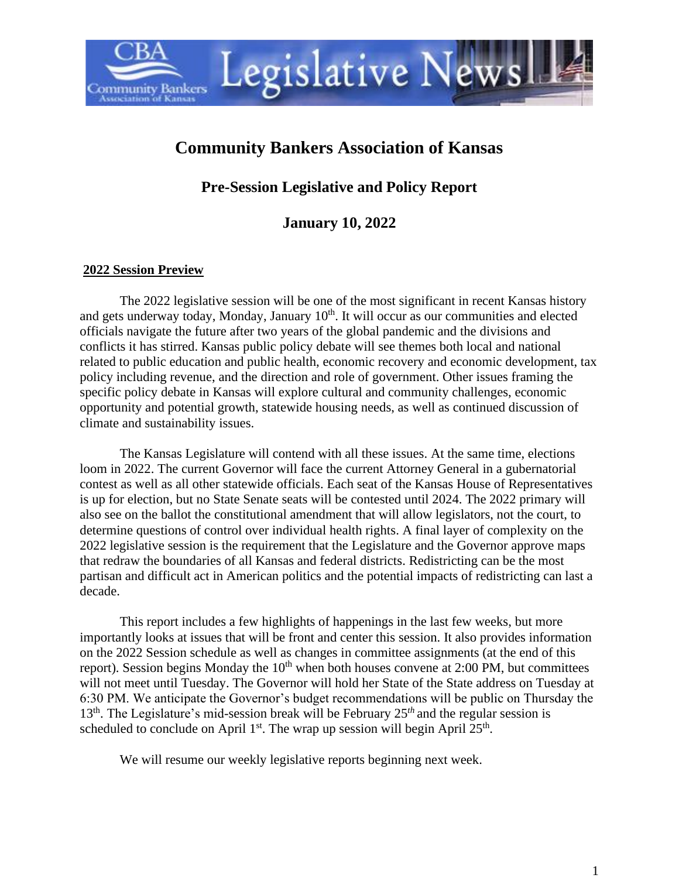# **Community Bankers Association of Kansas**

Legislative Newsl

**Pre-Session Legislative and Policy Report**

# **January 10, 2022**

#### **2022 Session Preview**

**ommunity Bankers** 

The 2022 legislative session will be one of the most significant in recent Kansas history and gets underway today, Monday, January 10<sup>th</sup>. It will occur as our communities and elected officials navigate the future after two years of the global pandemic and the divisions and conflicts it has stirred. Kansas public policy debate will see themes both local and national related to public education and public health, economic recovery and economic development, tax policy including revenue, and the direction and role of government. Other issues framing the specific policy debate in Kansas will explore cultural and community challenges, economic opportunity and potential growth, statewide housing needs, as well as continued discussion of climate and sustainability issues.

The Kansas Legislature will contend with all these issues. At the same time, elections loom in 2022. The current Governor will face the current Attorney General in a gubernatorial contest as well as all other statewide officials. Each seat of the Kansas House of Representatives is up for election, but no State Senate seats will be contested until 2024. The 2022 primary will also see on the ballot the constitutional amendment that will allow legislators, not the court, to determine questions of control over individual health rights. A final layer of complexity on the 2022 legislative session is the requirement that the Legislature and the Governor approve maps that redraw the boundaries of all Kansas and federal districts. Redistricting can be the most partisan and difficult act in American politics and the potential impacts of redistricting can last a decade.

This report includes a few highlights of happenings in the last few weeks, but more importantly looks at issues that will be front and center this session. It also provides information on the 2022 Session schedule as well as changes in committee assignments (at the end of this report). Session begins Monday the  $10<sup>th</sup>$  when both houses convene at 2:00 PM, but committees will not meet until Tuesday. The Governor will hold her State of the State address on Tuesday at 6:30 PM. We anticipate the Governor's budget recommendations will be public on Thursday the 13<sup>th</sup>. The Legislature's mid-session break will be February 25<sup>th</sup> and the regular session is scheduled to conclude on April  $1<sup>st</sup>$ . The wrap up session will begin April  $25<sup>th</sup>$ .

We will resume our weekly legislative reports beginning next week.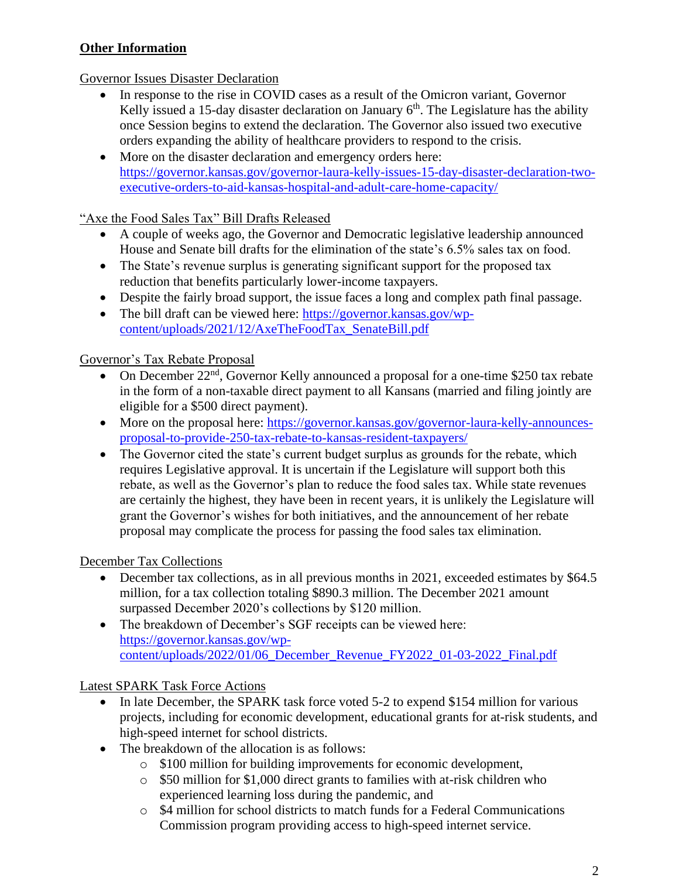# **Other Information**

# Governor Issues Disaster Declaration

- In response to the rise in COVID cases as a result of the Omicron variant, Governor Kelly issued a 15-day disaster declaration on January  $6<sup>th</sup>$ . The Legislature has the ability once Session begins to extend the declaration. The Governor also issued two executive orders expanding the ability of healthcare providers to respond to the crisis.
- More on the disaster declaration and emergency orders here: [https://governor.kansas.gov/governor-laura-kelly-issues-15-day-disaster-declaration-two](https://governor.kansas.gov/governor-laura-kelly-issues-15-day-disaster-declaration-two-executive-orders-to-aid-kansas-hospital-and-adult-care-home-capacity/)[executive-orders-to-aid-kansas-hospital-and-adult-care-home-capacity/](https://governor.kansas.gov/governor-laura-kelly-issues-15-day-disaster-declaration-two-executive-orders-to-aid-kansas-hospital-and-adult-care-home-capacity/)

#### "Axe the Food Sales Tax" Bill Drafts Released

- A couple of weeks ago, the Governor and Democratic legislative leadership announced House and Senate bill drafts for the elimination of the state's 6.5% sales tax on food.
- The State's revenue surplus is generating significant support for the proposed tax reduction that benefits particularly lower-income taxpayers.
- Despite the fairly broad support, the issue faces a long and complex path final passage.
- The bill draft can be viewed here: [https://governor.kansas.gov/wp](https://governor.kansas.gov/wp-content/uploads/2021/12/AxeTheFoodTax_SenateBill.pdf)[content/uploads/2021/12/AxeTheFoodTax\\_SenateBill.pdf](https://governor.kansas.gov/wp-content/uploads/2021/12/AxeTheFoodTax_SenateBill.pdf)

# Governor's Tax Rebate Proposal

- On December  $22<sup>nd</sup>$ , Governor Kelly announced a proposal for a one-time \$250 tax rebate in the form of a non-taxable direct payment to all Kansans (married and filing jointly are eligible for a \$500 direct payment).
- More on the proposal here: [https://governor.kansas.gov/governor-laura-kelly-announces](https://governor.kansas.gov/governor-laura-kelly-announces-proposal-to-provide-250-tax-rebate-to-kansas-resident-taxpayers/)[proposal-to-provide-250-tax-rebate-to-kansas-resident-taxpayers/](https://governor.kansas.gov/governor-laura-kelly-announces-proposal-to-provide-250-tax-rebate-to-kansas-resident-taxpayers/)
- The Governor cited the state's current budget surplus as grounds for the rebate, which requires Legislative approval. It is uncertain if the Legislature will support both this rebate, as well as the Governor's plan to reduce the food sales tax. While state revenues are certainly the highest, they have been in recent years, it is unlikely the Legislature will grant the Governor's wishes for both initiatives, and the announcement of her rebate proposal may complicate the process for passing the food sales tax elimination.

#### December Tax Collections

- December tax collections, as in all previous months in 2021, exceeded estimates by \$64.5 million, for a tax collection totaling \$890.3 million. The December 2021 amount surpassed December 2020's collections by \$120 million.
- The breakdown of December's SGF receipts can be viewed here: [https://governor.kansas.gov/wp](https://governor.kansas.gov/wp-content/uploads/2022/01/06_December_Revenue_FY2022_01-03-2022_Final.pdf)[content/uploads/2022/01/06\\_December\\_Revenue\\_FY2022\\_01-03-2022\\_Final.pdf](https://governor.kansas.gov/wp-content/uploads/2022/01/06_December_Revenue_FY2022_01-03-2022_Final.pdf)

# Latest SPARK Task Force Actions

- In late December, the SPARK task force voted 5-2 to expend \$154 million for various projects, including for economic development, educational grants for at-risk students, and high-speed internet for school districts.
- The breakdown of the allocation is as follows:
	- o \$100 million for building improvements for economic development,
	- o \$50 million for \$1,000 direct grants to families with at-risk children who experienced learning loss during the pandemic, and
	- o \$4 million for school districts to match funds for a Federal Communications Commission program providing access to high-speed internet service.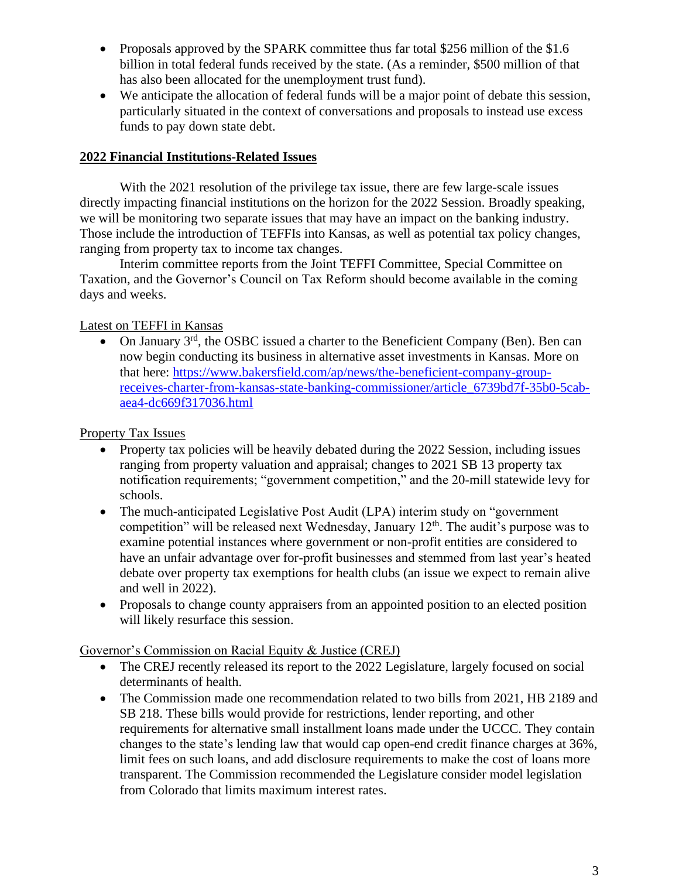- Proposals approved by the SPARK committee thus far total \$256 million of the \$1.6 billion in total federal funds received by the state. (As a reminder, \$500 million of that has also been allocated for the unemployment trust fund).
- We anticipate the allocation of federal funds will be a major point of debate this session, particularly situated in the context of conversations and proposals to instead use excess funds to pay down state debt.

#### **2022 Financial Institutions-Related Issues**

With the 2021 resolution of the privilege tax issue, there are few large-scale issues directly impacting financial institutions on the horizon for the 2022 Session. Broadly speaking, we will be monitoring two separate issues that may have an impact on the banking industry. Those include the introduction of TEFFIs into Kansas, as well as potential tax policy changes, ranging from property tax to income tax changes.

Interim committee reports from the Joint TEFFI Committee, Special Committee on Taxation, and the Governor's Council on Tax Reform should become available in the coming days and weeks.

# Latest on TEFFI in Kansas

• On January 3rd, the OSBC issued a charter to the Beneficient Company (Ben). Ben can now begin conducting its business in alternative asset investments in Kansas. More on that here: [https://www.bakersfield.com/ap/news/the-beneficient-company-group](https://www.bakersfield.com/ap/news/the-beneficient-company-group-receives-charter-from-kansas-state-banking-commissioner/article_6739bd7f-35b0-5cab-aea4-dc669f317036.html)[receives-charter-from-kansas-state-banking-commissioner/article\\_6739bd7f-35b0-5cab](https://www.bakersfield.com/ap/news/the-beneficient-company-group-receives-charter-from-kansas-state-banking-commissioner/article_6739bd7f-35b0-5cab-aea4-dc669f317036.html)[aea4-dc669f317036.html](https://www.bakersfield.com/ap/news/the-beneficient-company-group-receives-charter-from-kansas-state-banking-commissioner/article_6739bd7f-35b0-5cab-aea4-dc669f317036.html)

# Property Tax Issues

- Property tax policies will be heavily debated during the 2022 Session, including issues ranging from property valuation and appraisal; changes to 2021 SB 13 property tax notification requirements; "government competition," and the 20-mill statewide levy for schools.
- The much-anticipated Legislative Post Audit (LPA) interim study on "government" competition" will be released next Wednesday, January 12<sup>th</sup>. The audit's purpose was to examine potential instances where government or non-profit entities are considered to have an unfair advantage over for-profit businesses and stemmed from last year's heated debate over property tax exemptions for health clubs (an issue we expect to remain alive and well in 2022).
- Proposals to change county appraisers from an appointed position to an elected position will likely resurface this session.

# Governor's Commission on Racial Equity & Justice (CREJ)

- The CREJ recently released its report to the 2022 Legislature, largely focused on social determinants of health.
- The Commission made one recommendation related to two bills from 2021, HB 2189 and SB 218. These bills would provide for restrictions, lender reporting, and other requirements for alternative small installment loans made under the UCCC. They contain changes to the state's lending law that would cap open-end credit finance charges at 36%, limit fees on such loans, and add disclosure requirements to make the cost of loans more transparent. The Commission recommended the Legislature consider model legislation from Colorado that limits maximum interest rates.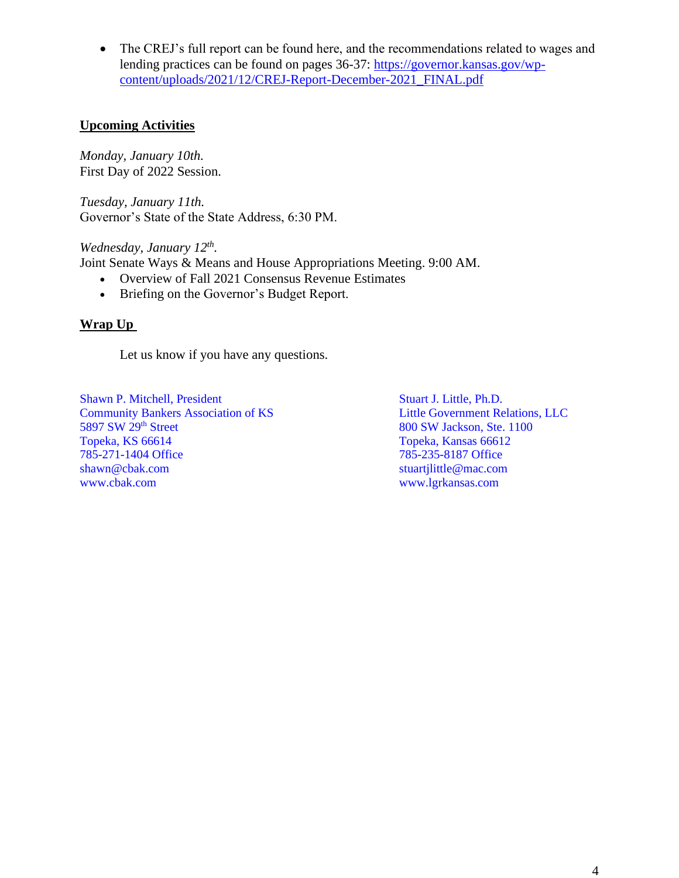• The CREJ's full report can be found here, and the recommendations related to wages and lending practices can be found on pages 36-37: [https://governor.kansas.gov/wp](https://governor.kansas.gov/wp-content/uploads/2021/12/CREJ-Report-December-2021_FINAL.pdf)[content/uploads/2021/12/CREJ-Report-December-2021\\_FINAL.pdf](https://governor.kansas.gov/wp-content/uploads/2021/12/CREJ-Report-December-2021_FINAL.pdf)

#### **Upcoming Activities**

*Monday, January 10th.* First Day of 2022 Session.

*Tuesday, January 11th.* Governor's State of the State Address, 6:30 PM.

*Wednesday, January 12th .*

Joint Senate Ways & Means and House Appropriations Meeting. 9:00 AM.

- Overview of Fall 2021 Consensus Revenue Estimates
- Briefing on the Governor's Budget Report.

#### **Wrap Up**

Let us know if you have any questions.

Shawn P. Mitchell, President Stuart J. Little, Ph.D. **Community Bankers Association of KS** Little Government Relations, LLC 5897 SW 29<sup>th</sup> Street 800 SW Jackson, Ste. 1100 Topeka, KS 66614 Topeka, Kansas 66612 785-271-1404 Office 785-235-8187 Office [shawn@cbak.com](mailto:shawn@cbak.com) [stuartjlittle@mac.com](mailto:stuartjlittle@mac.com) [www.cbak.com](http://www.cbak.com/) [www.lgrkansas.com](http://www.lgrkansas.com/)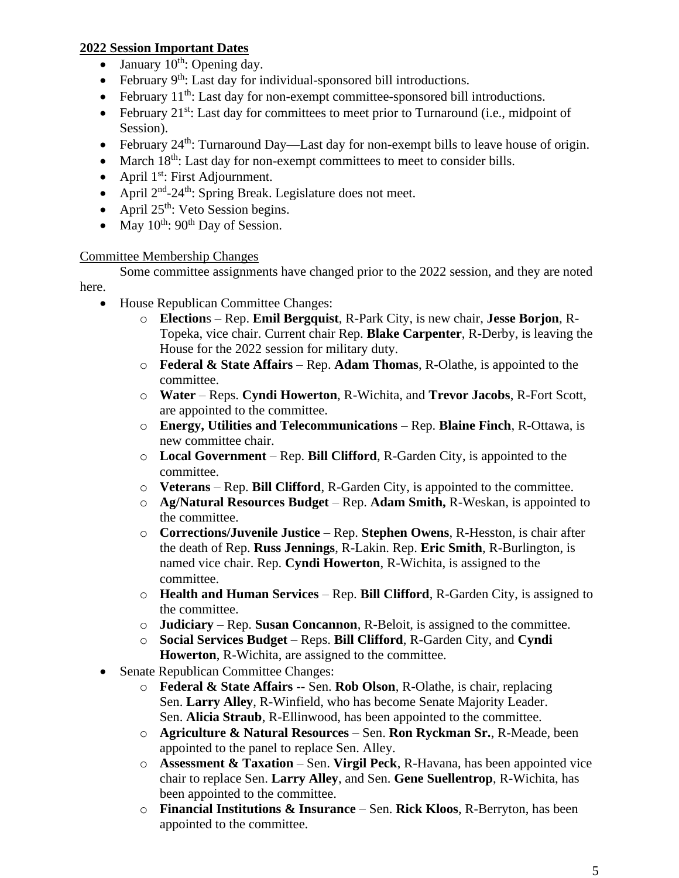#### **2022 Session Important Dates**

- January  $10^{th}$ : Opening day.
- February 9<sup>th</sup>: Last day for individual-sponsored bill introductions.
- February  $11^{th}$ : Last day for non-exempt committee-sponsored bill introductions.
- February  $21^{st}$ : Last day for committees to meet prior to Turnaround (i.e., midpoint of Session).
- February 24<sup>th</sup>: Turnaround Day—Last day for non-exempt bills to leave house of origin.
- March 18<sup>th</sup>: Last day for non-exempt committees to meet to consider bills.
- April  $1^{st}$ : First Adjournment.
- April  $2<sup>nd</sup> 24<sup>th</sup>$ : Spring Break. Legislature does not meet.
- April  $25<sup>th</sup>$ : Veto Session begins.
- May  $10^{th}$ :  $90^{th}$  Day of Session.

#### Committee Membership Changes

Some committee assignments have changed prior to the 2022 session, and they are noted here.

- House Republican Committee Changes:
	- o **Election**s Rep. **Emil Bergquist**, R-Park City, is new chair, **Jesse Borjon**, R-Topeka, vice chair. Current chair Rep. **Blake Carpenter**, R-Derby, is leaving the House for the 2022 session for military duty.
	- o **Federal & State Affairs** Rep. **Adam Thomas**, R-Olathe, is appointed to the committee.
	- o **Water** Reps. **Cyndi Howerton**, R-Wichita, and **Trevor Jacobs**, R-Fort Scott, are appointed to the committee.
	- o **Energy, Utilities and Telecommunications** Rep. **Blaine Finch**, R-Ottawa, is new committee chair.
	- o **Local Government** Rep. **Bill Clifford**, R-Garden City, is appointed to the committee.
	- o **Veterans** Rep. **Bill Clifford**, R-Garden City, is appointed to the committee.
	- o **Ag/Natural Resources Budget** Rep. **Adam Smith,** R-Weskan, is appointed to the committee.
	- o **Corrections/Juvenile Justice** Rep. **Stephen Owens**, R-Hesston, is chair after the death of Rep. **Russ Jennings**, R-Lakin. Rep. **Eric Smith**, R-Burlington, is named vice chair. Rep. **Cyndi Howerton**, R-Wichita, is assigned to the committee.
	- o **Health and Human Services** Rep. **Bill Clifford**, R-Garden City, is assigned to the committee.
	- o **Judiciary** Rep. **Susan Concannon**, R-Beloit, is assigned to the committee.
	- o **Social Services Budget** Reps. **Bill Clifford**, R-Garden City, and **Cyndi Howerton**, R-Wichita, are assigned to the committee.
- Senate Republican Committee Changes:
	- o **Federal & State Affairs** -- Sen. **Rob Olson**, R-Olathe, is chair, replacing Sen. **Larry Alley**, R-Winfield, who has become Senate Majority Leader. Sen. **Alicia Straub**, R-Ellinwood, has been appointed to the committee.
	- o **Agriculture & Natural Resources** Sen. **Ron Ryckman Sr.**, R-Meade, been appointed to the panel to replace Sen. Alley.
	- o **Assessment & Taxation** Sen. **Virgil Peck**, R-Havana, has been appointed vice chair to replace Sen. **Larry Alley**, and Sen. **Gene Suellentrop**, R-Wichita, has been appointed to the committee.
	- o **Financial Institutions & Insurance** Sen. **Rick Kloos**, R-Berryton, has been appointed to the committee.